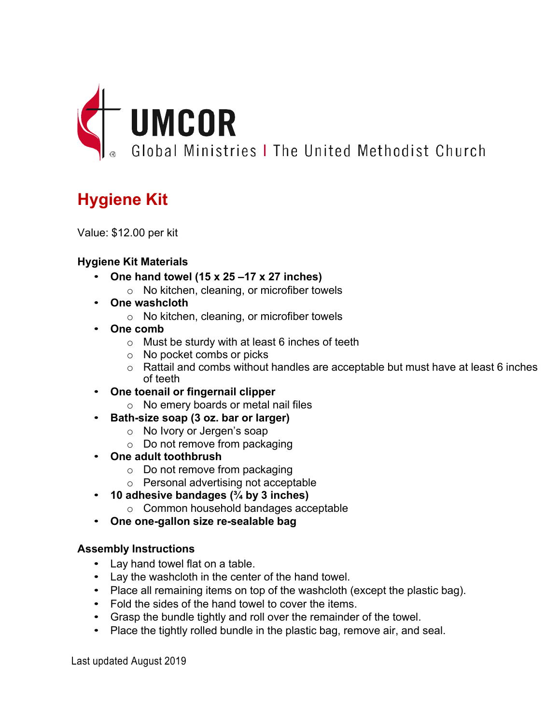

# **Hygiene Kit**

Value: \$12.00 per kit

## **Hygiene Kit Materials**

- **One hand towel (15 x 25 –17 x 27 inches)**
	- o No kitchen, cleaning, or microfiber towels
- **One washcloth**
	- o No kitchen, cleaning, or microfiber towels
- **One comb**
	- o Must be sturdy with at least 6 inches of teeth
	- o No pocket combs or picks
	- o Rattail and combs without handles are acceptable but must have at least 6 inches of teeth
- **One toenail or fingernail clipper**
	- o No emery boards or metal nail files
- **Bath-size soap (3 oz. bar or larger)**
	- o No Ivory or Jergen's soap
	- o Do not remove from packaging
- **One adult toothbrush**
	- o Do not remove from packaging
	- o Personal advertising not acceptable
- **10 adhesive bandages (¾ by 3 inches)**
	- o Common household bandages acceptable
- **One one-gallon size re-sealable bag**

## **Assembly Instructions**

- Lay hand towel flat on a table.
- Lay the washcloth in the center of the hand towel.
- Place all remaining items on top of the washcloth (except the plastic bag).
- Fold the sides of the hand towel to cover the items.
- Grasp the bundle tightly and roll over the remainder of the towel.
- Place the tightly rolled bundle in the plastic bag, remove air, and seal.

Last updated August 2019